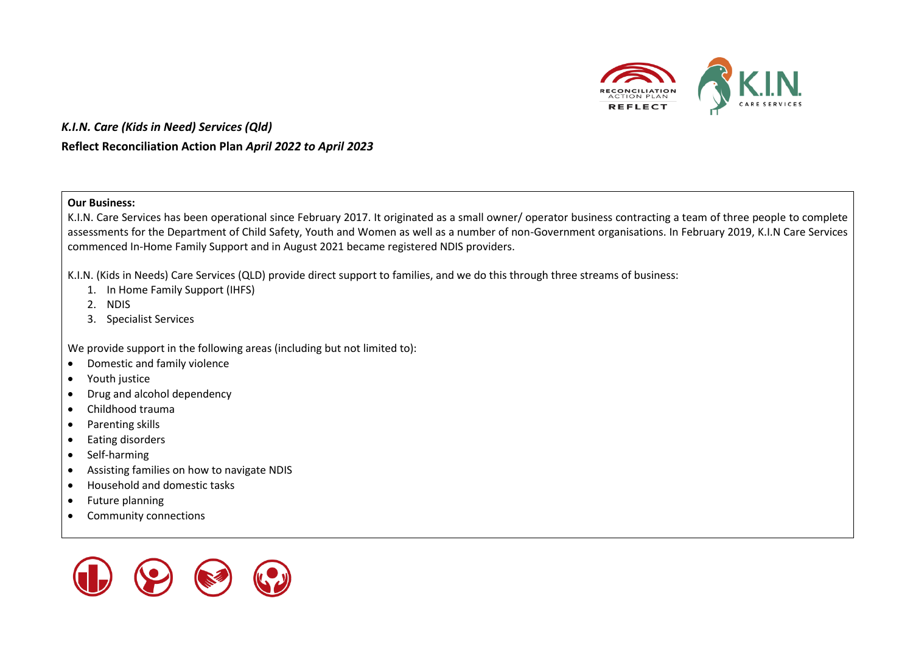

#### **Our Business:**

K.I.N. Care Services has been operational since February 2017. It originated as a small owner/ operator business contracting a team of three people to complete assessments for the Department of Child Safety, Youth and Women as well as a number of non-Government organisations. In February 2019, K.I.N Care Services commenced In-Home Family Support and in August 2021 became registered NDIS providers.

K.I.N. (Kids in Needs) Care Services (QLD) provide direct support to families, and we do this through three streams of business:

- 1. In Home Family Support (IHFS)
- 2. NDIS
- 3. Specialist Services

We provide support in the following areas (including but not limited to):

- Domestic and family violence
- Youth justice
- Drug and alcohol dependency
- Childhood trauma
- Parenting skills
- Eating disorders
- Self-harming
- Assisting families on how to navigate NDIS
- Household and domestic tasks
- Future planning
- Community connections

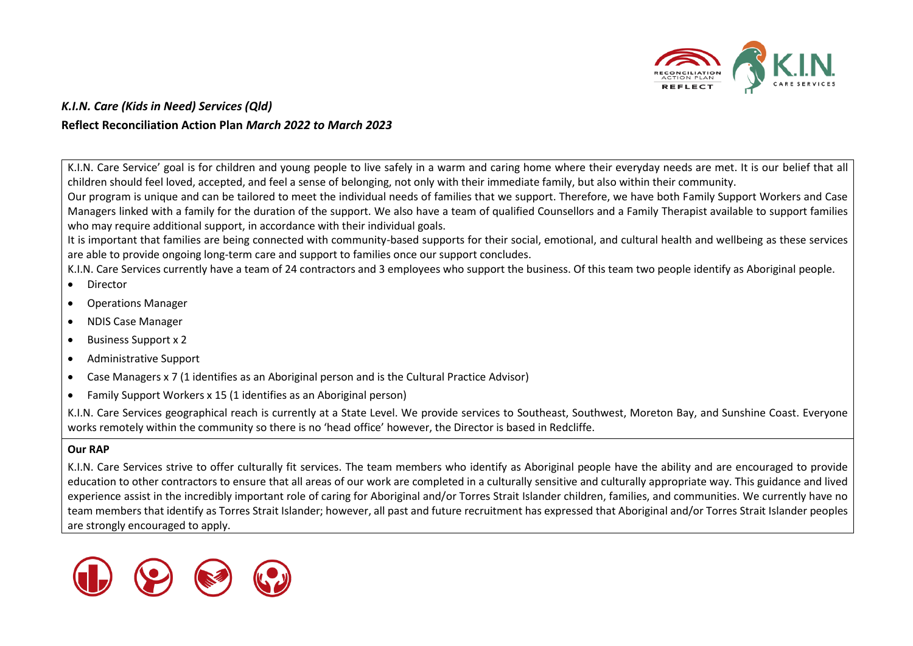

K.I.N. Care Service' goal is for children and young people to live safely in a warm and caring home where their everyday needs are met. It is our belief that all children should feel loved, accepted, and feel a sense of belonging, not only with their immediate family, but also within their community.

Our program is unique and can be tailored to meet the individual needs of families that we support. Therefore, we have both Family Support Workers and Case Managers linked with a family for the duration of the support. We also have a team of qualified Counsellors and a Family Therapist available to support families who may require additional support, in accordance with their individual goals.

It is important that families are being connected with community-based supports for their social, emotional, and cultural health and wellbeing as these services are able to provide ongoing long-term care and support to families once our support concludes.

K.I.N. Care Services currently have a team of 24 contractors and 3 employees who support the business. Of this team two people identify as Aboriginal people.

- Director
- Operations Manager
- NDIS Case Manager
- Business Support x 2
- Administrative Support
- Case Managers x 7 (1 identifies as an Aboriginal person and is the Cultural Practice Advisor)
- Family Support Workers x 15 (1 identifies as an Aboriginal person)

K.I.N. Care Services geographical reach is currently at a State Level. We provide services to Southeast, Southwest, Moreton Bay, and Sunshine Coast. Everyone works remotely within the community so there is no 'head office' however, the Director is based in Redcliffe.

#### **Our RAP**

K.I.N. Care Services strive to offer culturally fit services. The team members who identify as Aboriginal people have the ability and are encouraged to provide education to other contractors to ensure that all areas of our work are completed in a culturally sensitive and culturally appropriate way. This guidance and lived experience assist in the incredibly important role of caring for Aboriginal and/or Torres Strait Islander children, families, and communities. We currently have no team members that identify as Torres Strait Islander; however, all past and future recruitment has expressed that Aboriginal and/or Torres Strait Islander peoples are strongly encouraged to apply.

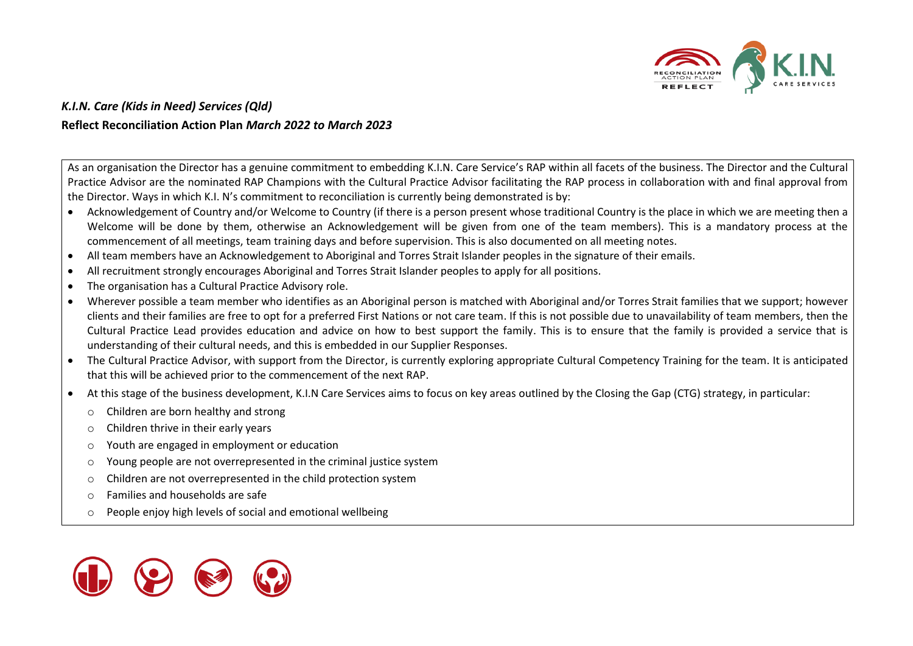

As an organisation the Director has a genuine commitment to embedding K.I.N. Care Service's RAP within all facets of the business. The Director and the Cultural Practice Advisor are the nominated RAP Champions with the Cultural Practice Advisor facilitating the RAP process in collaboration with and final approval from the Director. Ways in which K.I. N's commitment to reconciliation is currently being demonstrated is by:

- Acknowledgement of Country and/or Welcome to Country (if there is a person present whose traditional Country is the place in which we are meeting then a Welcome will be done by them, otherwise an Acknowledgement will be given from one of the team members). This is a mandatory process at the commencement of all meetings, team training days and before supervision. This is also documented on all meeting notes.
- All team members have an Acknowledgement to Aboriginal and Torres Strait Islander peoples in the signature of their emails.
- All recruitment strongly encourages Aboriginal and Torres Strait Islander peoples to apply for all positions.
- The organisation has a Cultural Practice Advisory role.
- Wherever possible a team member who identifies as an Aboriginal person is matched with Aboriginal and/or Torres Strait families that we support; however clients and their families are free to opt for a preferred First Nations or not care team. If this is not possible due to unavailability of team members, then the Cultural Practice Lead provides education and advice on how to best support the family. This is to ensure that the family is provided a service that is understanding of their cultural needs, and this is embedded in our Supplier Responses.
- The Cultural Practice Advisor, with support from the Director, is currently exploring appropriate Cultural Competency Training for the team. It is anticipated that this will be achieved prior to the commencement of the next RAP.
- At this stage of the business development, K.I.N Care Services aims to focus on key areas outlined by the Closing the Gap (CTG) strategy, in particular:
	- o Children are born healthy and strong
	- o Children thrive in their early years
	- o Youth are engaged in employment or education
	- o Young people are not overrepresented in the criminal justice system
	- o Children are not overrepresented in the child protection system
	- o Families and households are safe
	- o People enjoy high levels of social and emotional wellbeing

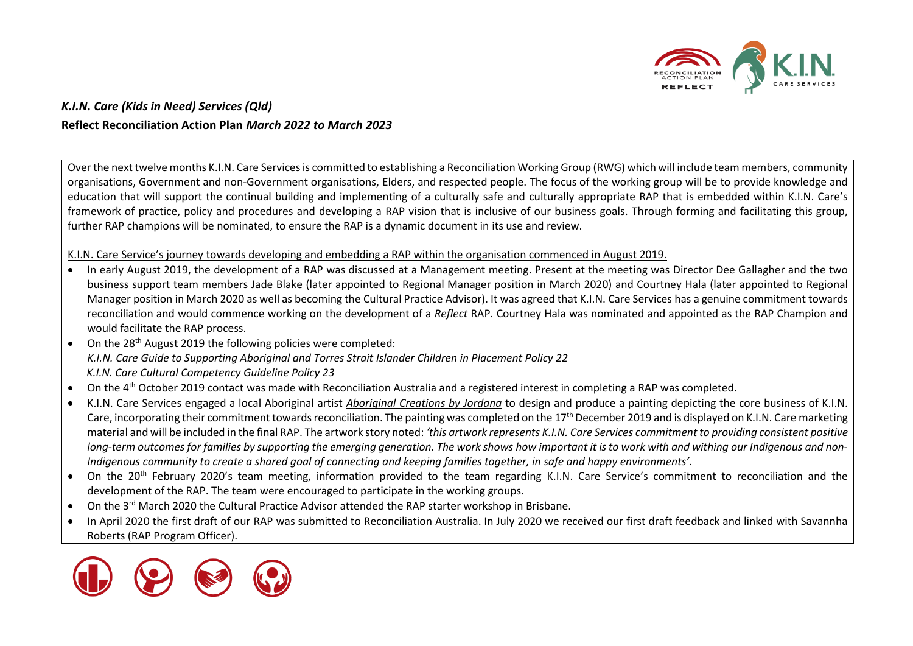

Over the next twelve months K.I.N. Care Services is committed to establishing a Reconciliation Working Group (RWG) which will include team members, community organisations, Government and non-Government organisations, Elders, and respected people. The focus of the working group will be to provide knowledge and education that will support the continual building and implementing of a culturally safe and culturally appropriate RAP that is embedded within K.I.N. Care's framework of practice, policy and procedures and developing a RAP vision that is inclusive of our business goals. Through forming and facilitating this group, further RAP champions will be nominated, to ensure the RAP is a dynamic document in its use and review.

#### K.I.N. Care Service's journey towards developing and embedding a RAP within the organisation commenced in August 2019.

- In early August 2019, the development of a RAP was discussed at a Management meeting. Present at the meeting was Director Dee Gallagher and the two business support team members Jade Blake (later appointed to Regional Manager position in March 2020) and Courtney Hala (later appointed to Regional Manager position in March 2020 as well as becoming the Cultural Practice Advisor). It was agreed that K.I.N. Care Services has a genuine commitment towards reconciliation and would commence working on the development of a *Reflect* RAP. Courtney Hala was nominated and appointed as the RAP Champion and would facilitate the RAP process.
- On the 28<sup>th</sup> August 2019 the following policies were completed: *K.I.N. Care Guide to Supporting Aboriginal and Torres Strait Islander Children in Placement Policy 22 K.I.N. Care Cultural Competency Guideline Policy 23*
- On the 4<sup>th</sup> October 2019 contact was made with Reconciliation Australia and a registered interest in completing a RAP was completed.
- K.I.N. Care Services engaged a local Aboriginal artist *Aboriginal Creations by Jordana* to design and produce a painting depicting the core business of K.I.N. Care, incorporating their commitment towards reconciliation. The painting was completed on the 17<sup>th</sup> December 2019 and is displayed on K.I.N. Care marketing material and will be included in the final RAP. The artwork story noted: *'this artwork represents K.I.N. Care Services commitment to providing consistent positive*  long-term outcomes for families by supporting the emerging generation. The work shows how important it is to work with and withing our Indigenous and non-*Indigenous community to create a shared goal of connecting and keeping families together, in safe and happy environments'.*
- On the 20<sup>th</sup> February 2020's team meeting, information provided to the team regarding K.I.N. Care Service's commitment to reconciliation and the development of the RAP. The team were encouraged to participate in the working groups.
- On the 3<sup>rd</sup> March 2020 the Cultural Practice Advisor attended the RAP starter workshop in Brisbane.
- In April 2020 the first draft of our RAP was submitted to Reconciliation Australia. In July 2020 we received our first draft feedback and linked with Savannha Roberts (RAP Program Officer).

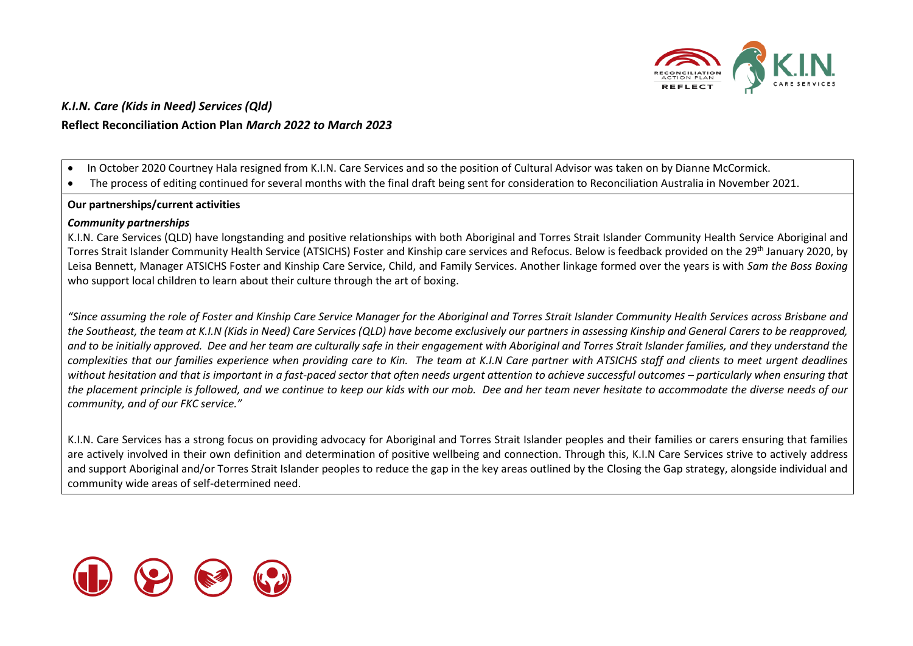

• In October 2020 Courtney Hala resigned from K.I.N. Care Services and so the position of Cultural Advisor was taken on by Dianne McCormick.

• The process of editing continued for several months with the final draft being sent for consideration to Reconciliation Australia in November 2021.

#### **Our partnerships/current activities**

#### *Community partnerships*

K.I.N. Care Services (QLD) have longstanding and positive relationships with both Aboriginal and Torres Strait Islander Community Health Service Aboriginal and Torres Strait Islander Community Health Service (ATSICHS) Foster and Kinship care services and Refocus. Below is feedback provided on the 29th January 2020, by Leisa Bennett, Manager ATSICHS Foster and Kinship Care Service, Child, and Family Services. Another linkage formed over the years is with *Sam the Boss Boxing* who support local children to learn about their culture through the art of boxing.

*"Since assuming the role of Foster and Kinship Care Service Manager for the Aboriginal and Torres Strait Islander Community Health Services across Brisbane and the Southeast, the team at K.I.N (Kids in Need) Care Services (QLD) have become exclusively our partners in assessing Kinship and General Carers to be reapproved, and to be initially approved. Dee and her team are culturally safe in their engagement with Aboriginal and Torres Strait Islander families, and they understand the complexities that our families experience when providing care to Kin. The team at K.I.N Care partner with ATSICHS staff and clients to meet urgent deadlines without hesitation and that is important in a fast-paced sector that often needs urgent attention to achieve successful outcomes – particularly when ensuring that the placement principle is followed, and we continue to keep our kids with our mob. Dee and her team never hesitate to accommodate the diverse needs of our community, and of our FKC service."*

K.I.N. Care Services has a strong focus on providing advocacy for Aboriginal and Torres Strait Islander peoples and their families or carers ensuring that families are actively involved in their own definition and determination of positive wellbeing and connection. Through this, K.I.N Care Services strive to actively address and support Aboriginal and/or Torres Strait Islander peoples to reduce the gap in the key areas outlined by the Closing the Gap strategy, alongside individual and community wide areas of self-determined need.

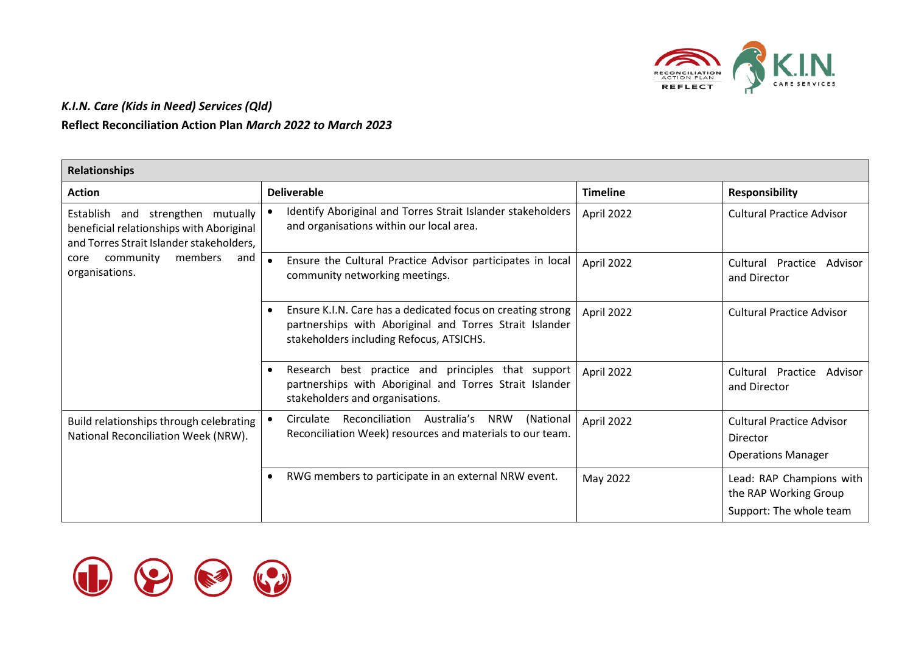

| <b>Relationships</b>                                                                                                      |                                                                                                                                                                                 |                 |                                                                              |
|---------------------------------------------------------------------------------------------------------------------------|---------------------------------------------------------------------------------------------------------------------------------------------------------------------------------|-----------------|------------------------------------------------------------------------------|
| <b>Action</b>                                                                                                             | <b>Deliverable</b>                                                                                                                                                              | <b>Timeline</b> | <b>Responsibility</b>                                                        |
| Establish and strengthen mutually<br>beneficial relationships with Aboriginal<br>and Torres Strait Islander stakeholders, | Identify Aboriginal and Torres Strait Islander stakeholders<br>and organisations within our local area.                                                                         | April 2022      | <b>Cultural Practice Advisor</b>                                             |
| community<br>members<br>and<br>core<br>organisations.                                                                     | Ensure the Cultural Practice Advisor participates in local<br>$\bullet$<br>community networking meetings.                                                                       | April 2022      | Cultural Practice<br>Advisor<br>and Director                                 |
|                                                                                                                           | Ensure K.I.N. Care has a dedicated focus on creating strong<br>$\bullet$<br>partnerships with Aboriginal and Torres Strait Islander<br>stakeholders including Refocus, ATSICHS. | April 2022      | <b>Cultural Practice Advisor</b>                                             |
|                                                                                                                           | Research best practice and principles that support<br>$\bullet$<br>partnerships with Aboriginal and Torres Strait Islander<br>stakeholders and organisations.                   | April 2022      | Cultural Practice<br>Advisor<br>and Director                                 |
| Build relationships through celebrating<br>National Reconciliation Week (NRW).                                            | Circulate Reconciliation Australia's NRW<br>(National<br>Reconciliation Week) resources and materials to our team.                                                              | April 2022      | <b>Cultural Practice Advisor</b><br>Director<br><b>Operations Manager</b>    |
|                                                                                                                           | RWG members to participate in an external NRW event.                                                                                                                            | May 2022        | Lead: RAP Champions with<br>the RAP Working Group<br>Support: The whole team |

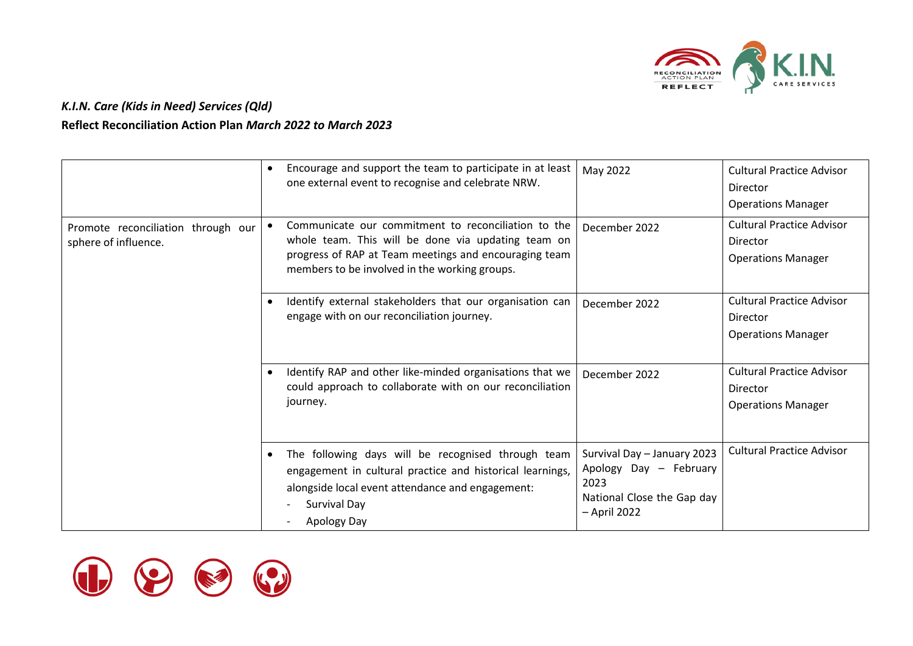

|                                                            | $\bullet$ | Encourage and support the team to participate in at least<br>one external event to recognise and celebrate NRW.                                                                                                     | May 2022                                                                                                    | <b>Cultural Practice Advisor</b><br>Director<br><b>Operations Manager</b> |
|------------------------------------------------------------|-----------|---------------------------------------------------------------------------------------------------------------------------------------------------------------------------------------------------------------------|-------------------------------------------------------------------------------------------------------------|---------------------------------------------------------------------------|
| Promote reconciliation through our<br>sphere of influence. |           | Communicate our commitment to reconciliation to the<br>whole team. This will be done via updating team on<br>progress of RAP at Team meetings and encouraging team<br>members to be involved in the working groups. | December 2022                                                                                               | <b>Cultural Practice Advisor</b><br>Director<br><b>Operations Manager</b> |
|                                                            |           | Identify external stakeholders that our organisation can<br>engage with on our reconciliation journey.                                                                                                              | December 2022                                                                                               | <b>Cultural Practice Advisor</b><br>Director<br><b>Operations Manager</b> |
|                                                            |           | Identify RAP and other like-minded organisations that we<br>could approach to collaborate with on our reconciliation<br>journey.                                                                                    | December 2022                                                                                               | <b>Cultural Practice Advisor</b><br>Director<br><b>Operations Manager</b> |
|                                                            | $\bullet$ | The following days will be recognised through team<br>engagement in cultural practice and historical learnings,<br>alongside local event attendance and engagement:<br>Survival Day<br>Apology Day                  | Survival Day - January 2023<br>Apology Day - February<br>2023<br>National Close the Gap day<br>- April 2022 | <b>Cultural Practice Advisor</b>                                          |

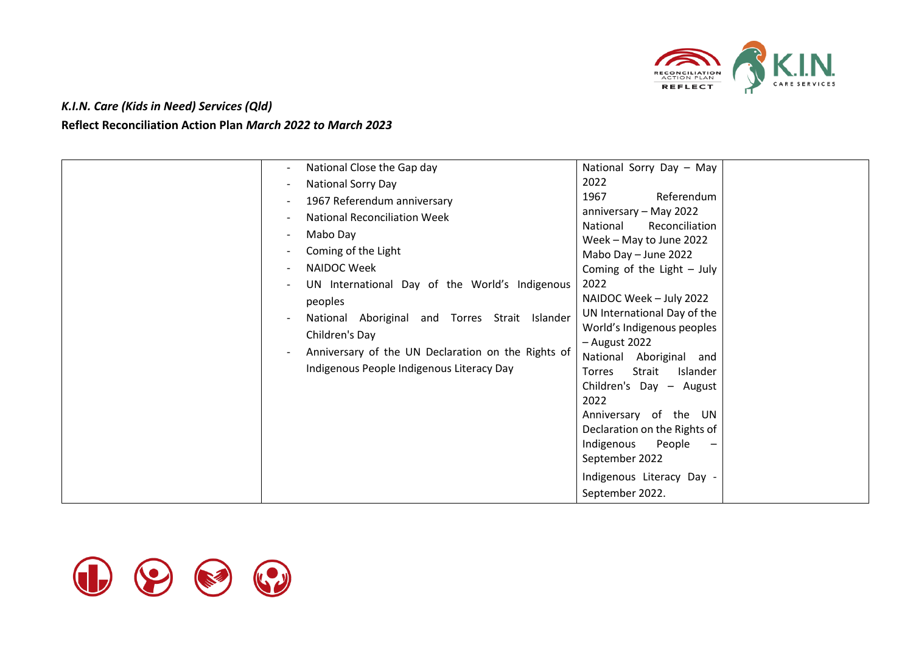

| National Close the Gap day<br>National Sorry Day<br>1967 Referendum anniversary<br><b>National Reconciliation Week</b><br>Mabo Day<br>Coming of the Light<br>NAIDOC Week<br>UN International Day of the World's Indigenous<br>peoples<br>National Aboriginal and Torres Strait Islander<br>Children's Day<br>Anniversary of the UN Declaration on the Rights of<br>Indigenous People Indigenous Literacy Day | National Sorry Day - May<br>2022<br>1967<br>Referendum<br>anniversary - May 2022<br>Reconciliation<br>National<br>Week - May to June 2022<br>Mabo Day - June 2022<br>Coming of the Light $-$ July<br>2022<br>NAIDOC Week - July 2022<br>UN International Day of the<br>World's Indigenous peoples<br>$-$ August 2022<br>National Aboriginal and<br>Strait<br>Torres<br>Islander<br>Children's Day - August<br>2022<br>Anniversary of the UN<br>Declaration on the Rights of<br>Indigenous<br>People<br>$\overline{\phantom{m}}$<br>September 2022<br>Indigenous Literacy Day -<br>September 2022. |
|--------------------------------------------------------------------------------------------------------------------------------------------------------------------------------------------------------------------------------------------------------------------------------------------------------------------------------------------------------------------------------------------------------------|---------------------------------------------------------------------------------------------------------------------------------------------------------------------------------------------------------------------------------------------------------------------------------------------------------------------------------------------------------------------------------------------------------------------------------------------------------------------------------------------------------------------------------------------------------------------------------------------------|
|--------------------------------------------------------------------------------------------------------------------------------------------------------------------------------------------------------------------------------------------------------------------------------------------------------------------------------------------------------------------------------------------------------------|---------------------------------------------------------------------------------------------------------------------------------------------------------------------------------------------------------------------------------------------------------------------------------------------------------------------------------------------------------------------------------------------------------------------------------------------------------------------------------------------------------------------------------------------------------------------------------------------------|

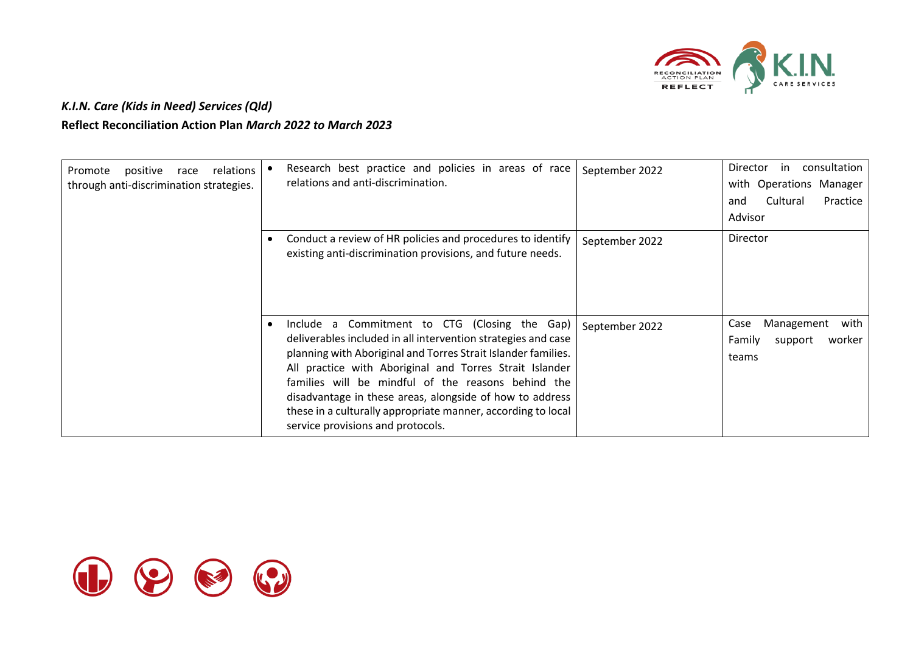

| positive<br>relations<br>Promote<br>race<br>through anti-discrimination strategies. | Research best practice and policies in areas of race<br>relations and anti-discrimination.                                                                                                                                                                                                                                                                                                                                                                        | September 2022 | consultation<br>Director<br>in<br>with Operations Manager<br>Cultural<br>Practice<br>and<br>Advisor |
|-------------------------------------------------------------------------------------|-------------------------------------------------------------------------------------------------------------------------------------------------------------------------------------------------------------------------------------------------------------------------------------------------------------------------------------------------------------------------------------------------------------------------------------------------------------------|----------------|-----------------------------------------------------------------------------------------------------|
|                                                                                     | Conduct a review of HR policies and procedures to identify<br>existing anti-discrimination provisions, and future needs.                                                                                                                                                                                                                                                                                                                                          | September 2022 | Director                                                                                            |
|                                                                                     | Include a Commitment to CTG (Closing the Gap)<br>deliverables included in all intervention strategies and case<br>planning with Aboriginal and Torres Strait Islander families.<br>All practice with Aboriginal and Torres Strait Islander<br>families will be mindful of the reasons behind the<br>disadvantage in these areas, alongside of how to address<br>these in a culturally appropriate manner, according to local<br>service provisions and protocols. | September 2022 | Management<br>with<br>Case<br>Family<br>worker<br>support<br>teams                                  |

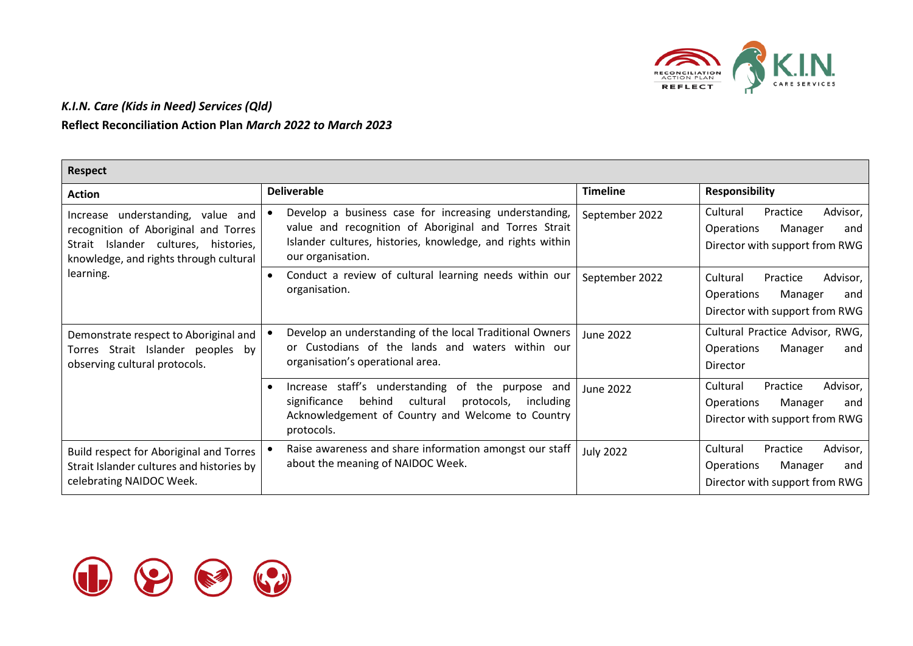

| <b>Respect</b>                                                                                                                                                 |                                                                                                                                                                                                    |                  |                                                                                                           |
|----------------------------------------------------------------------------------------------------------------------------------------------------------------|----------------------------------------------------------------------------------------------------------------------------------------------------------------------------------------------------|------------------|-----------------------------------------------------------------------------------------------------------|
| <b>Action</b>                                                                                                                                                  | <b>Deliverable</b>                                                                                                                                                                                 | <b>Timeline</b>  | <b>Responsibility</b>                                                                                     |
| understanding, value and<br>Increase<br>recognition of Aboriginal and Torres<br>Strait Islander cultures, histories,<br>knowledge, and rights through cultural | Develop a business case for increasing understanding,<br>value and recognition of Aboriginal and Torres Strait<br>Islander cultures, histories, knowledge, and rights within<br>our organisation.  | September 2022   | Cultural<br>Practice<br>Advisor,<br><b>Operations</b><br>Manager<br>and<br>Director with support from RWG |
| learning.                                                                                                                                                      | Conduct a review of cultural learning needs within our<br>$\bullet$<br>organisation.                                                                                                               | September 2022   | Cultural<br>Practice<br>Advisor,<br>Operations<br>Manager<br>and<br>Director with support from RWG        |
| Demonstrate respect to Aboriginal and<br>Torres Strait Islander peoples<br>bv<br>observing cultural protocols.                                                 | Develop an understanding of the local Traditional Owners<br>or Custodians of the lands and waters within our<br>organisation's operational area.                                                   | June 2022        | Cultural Practice Advisor, RWG,<br>Operations<br>Manager<br>and<br>Director                               |
|                                                                                                                                                                | Increase staff's understanding of the purpose and<br>$\bullet$<br>behind<br>cultural<br>significance<br>protocols,<br>including<br>Acknowledgement of Country and Welcome to Country<br>protocols. | June 2022        | Advisor,<br>Cultural<br>Practice<br>Operations<br>Manager<br>and<br>Director with support from RWG        |
| Build respect for Aboriginal and Torres<br>Strait Islander cultures and histories by<br>celebrating NAIDOC Week.                                               | Raise awareness and share information amongst our staff<br>about the meaning of NAIDOC Week.                                                                                                       | <b>July 2022</b> | Advisor,<br>Cultural<br>Practice<br>Operations<br>Manager<br>and<br>Director with support from RWG        |

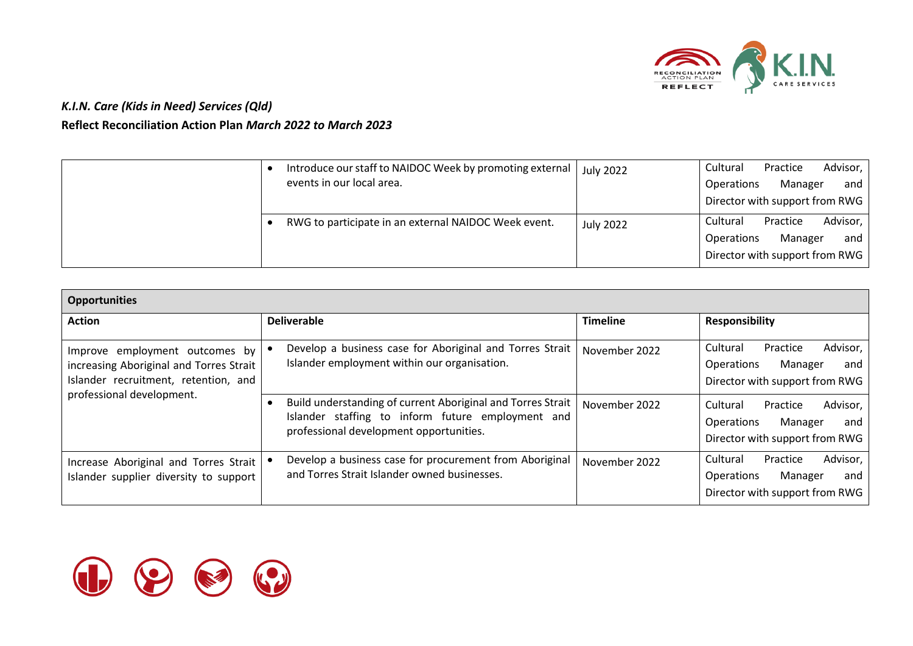

|  | Introduce our staff to NAIDOC Week by promoting external<br>events in our local area. | <b>July 2022</b> | Cultural<br>Operations | Practice<br>Manager<br>Director with support from RWG | Advisor,<br>and |
|--|---------------------------------------------------------------------------------------|------------------|------------------------|-------------------------------------------------------|-----------------|
|  | RWG to participate in an external NAIDOC Week event.                                  | <b>July 2022</b> | Cultural<br>Operations | Practice<br>Manager<br>Director with support from RWG | Advisor,<br>and |

| <b>Opportunities</b>                                                                                              |                                                                                                                                                             |                 |                                                                                                           |
|-------------------------------------------------------------------------------------------------------------------|-------------------------------------------------------------------------------------------------------------------------------------------------------------|-----------------|-----------------------------------------------------------------------------------------------------------|
| <b>Action</b>                                                                                                     | <b>Deliverable</b>                                                                                                                                          | <b>Timeline</b> | <b>Responsibility</b>                                                                                     |
| Improve employment outcomes by<br>increasing Aboriginal and Torres Strait<br>Islander recruitment, retention, and | Develop a business case for Aboriginal and Torres Strait<br>Islander employment within our organisation.                                                    | November 2022   | Advisor,<br>Cultural<br>Practice<br>Operations<br>Manager<br>and<br>Director with support from RWG        |
| professional development.                                                                                         | Build understanding of current Aboriginal and Torres Strait<br>Islander staffing to inform future employment and<br>professional development opportunities. | November 2022   | Advisor,<br>Cultural<br>Practice<br>Operations<br>Manager<br>and<br>Director with support from RWG        |
| Increase Aboriginal and Torres Strait<br>Islander supplier diversity to support                                   | Develop a business case for procurement from Aboriginal<br>and Torres Strait Islander owned businesses.                                                     | November 2022   | Advisor,<br>Cultural<br>Practice<br><b>Operations</b><br>Manager<br>and<br>Director with support from RWG |

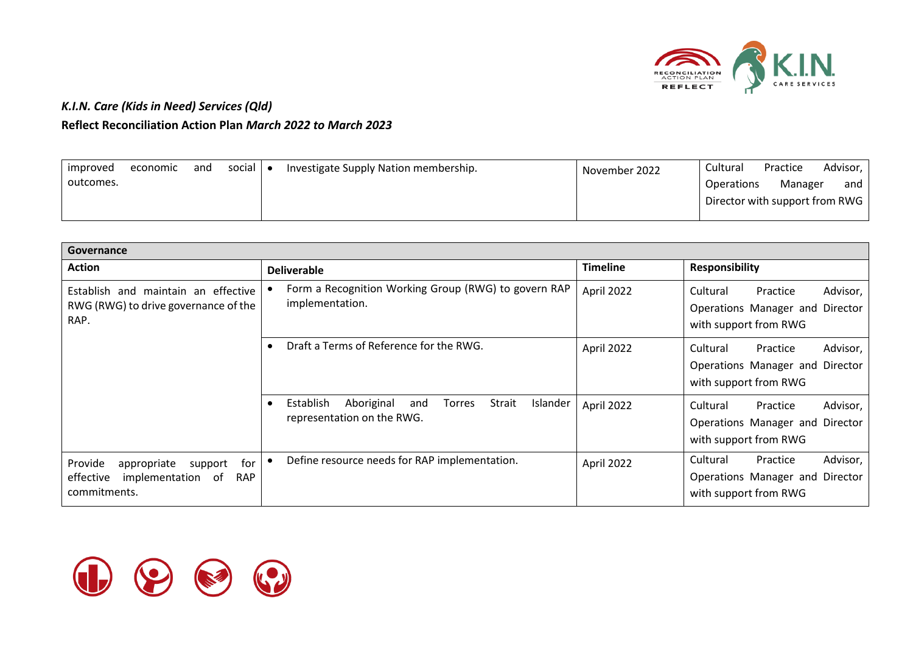

| improved  | economic | and | social I | $\bullet$ | Investigate Supply Nation membership. | November 2022 | Cultural          | Practice                       | Advisor, |
|-----------|----------|-----|----------|-----------|---------------------------------------|---------------|-------------------|--------------------------------|----------|
| outcomes. |          |     |          |           |                                       |               | <b>Operations</b> | Manager                        | and      |
|           |          |     |          |           |                                       |               |                   | Director with support from RWG |          |

| Governance                                                                                               |                                                                                                     |                 |                                                                                              |
|----------------------------------------------------------------------------------------------------------|-----------------------------------------------------------------------------------------------------|-----------------|----------------------------------------------------------------------------------------------|
| <b>Action</b>                                                                                            | <b>Deliverable</b>                                                                                  | <b>Timeline</b> | <b>Responsibility</b>                                                                        |
| Establish and maintain an effective<br>RWG (RWG) to drive governance of the<br>RAP.                      | Form a Recognition Working Group (RWG) to govern RAP<br>implementation.                             | April 2022      | Advisor,<br>Cultural<br>Practice<br>Operations Manager and Director<br>with support from RWG |
|                                                                                                          | Draft a Terms of Reference for the RWG.                                                             | April 2022      | Advisor,<br>Cultural<br>Practice<br>Operations Manager and Director<br>with support from RWG |
|                                                                                                          | Aboriginal<br>Strait<br>Establish<br>Islander<br><b>Torres</b><br>and<br>representation on the RWG. | April 2022      | Advisor,<br>Cultural<br>Practice<br>Operations Manager and Director<br>with support from RWG |
| Provide<br>for<br>appropriate<br>support<br>effective<br>implementation of<br><b>RAP</b><br>commitments. | Define resource needs for RAP implementation.<br>٠                                                  | April 2022      | Advisor,<br>Cultural<br>Practice<br>Operations Manager and Director<br>with support from RWG |

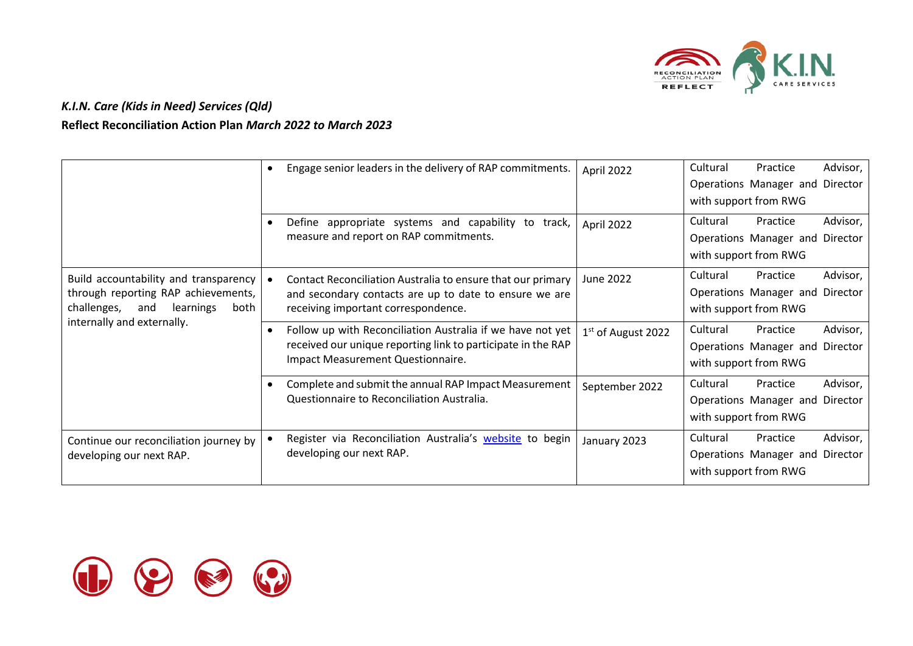

|                                                                                                                         | Engage senior leaders in the delivery of RAP commitments.                                                                                                       | April 2022                     | Cultural | Practice<br>Operations Manager and Director<br>with support from RWG | Advisor, |
|-------------------------------------------------------------------------------------------------------------------------|-----------------------------------------------------------------------------------------------------------------------------------------------------------------|--------------------------------|----------|----------------------------------------------------------------------|----------|
|                                                                                                                         | Define appropriate systems and capability to track,<br>measure and report on RAP commitments.                                                                   | April 2022                     | Cultural | Practice<br>Operations Manager and Director<br>with support from RWG | Advisor, |
| Build accountability and transparency<br>through reporting RAP achievements,<br>challenges,<br>and<br>learnings<br>both | Contact Reconciliation Australia to ensure that our primary<br>and secondary contacts are up to date to ensure we are<br>receiving important correspondence.    | June 2022                      | Cultural | Practice<br>Operations Manager and Director<br>with support from RWG | Advisor, |
| internally and externally.                                                                                              | Follow up with Reconciliation Australia if we have not yet<br>received our unique reporting link to participate in the RAP<br>Impact Measurement Questionnaire. | 1 <sup>st</sup> of August 2022 | Cultural | Practice<br>Operations Manager and Director<br>with support from RWG | Advisor, |
|                                                                                                                         | Complete and submit the annual RAP Impact Measurement<br>Questionnaire to Reconciliation Australia.                                                             | September 2022                 | Cultural | Practice<br>Operations Manager and Director<br>with support from RWG | Advisor, |
| Continue our reconciliation journey by<br>developing our next RAP.                                                      | Register via Reconciliation Australia's <b>website</b> to begin<br>developing our next RAP.                                                                     | January 2023                   | Cultural | Practice<br>Operations Manager and Director<br>with support from RWG | Advisor, |